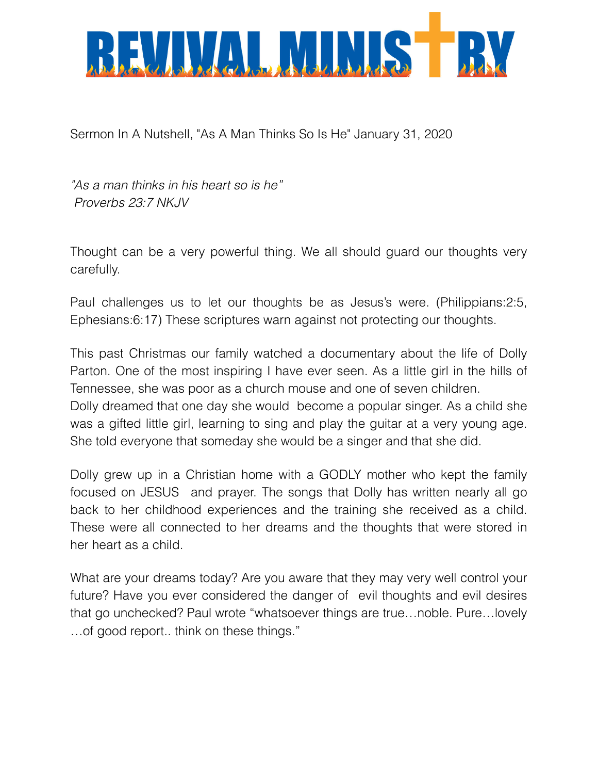

Sermon In A Nutshell, "As A Man Thinks So Is He" January 31, 2020

*"As a man thinks in his heart so is he" Proverbs 23:7 NKJV*

Thought can be a very powerful thing. We all should guard our thoughts very carefully.

Paul challenges us to let our thoughts be as Jesus's were. (Philippians:2:5, Ephesians:6:17) These scriptures warn against not protecting our thoughts.

This past Christmas our family watched a documentary about the life of Dolly Parton. One of the most inspiring I have ever seen. As a little girl in the hills of Tennessee, she was poor as a church mouse and one of seven children. Dolly dreamed that one day she would become a popular singer. As a child she was a gifted little girl, learning to sing and play the guitar at a very young age. She told everyone that someday she would be a singer and that she did.

Dolly grew up in a Christian home with a GODLY mother who kept the family focused on JESUS and prayer. The songs that Dolly has written nearly all go back to her childhood experiences and the training she received as a child. These were all connected to her dreams and the thoughts that were stored in her heart as a child.

What are your dreams today? Are you aware that they may very well control your future? Have you ever considered the danger of evil thoughts and evil desires that go unchecked? Paul wrote "whatsoever things are true…noble. Pure…lovely …of good report.. think on these things."